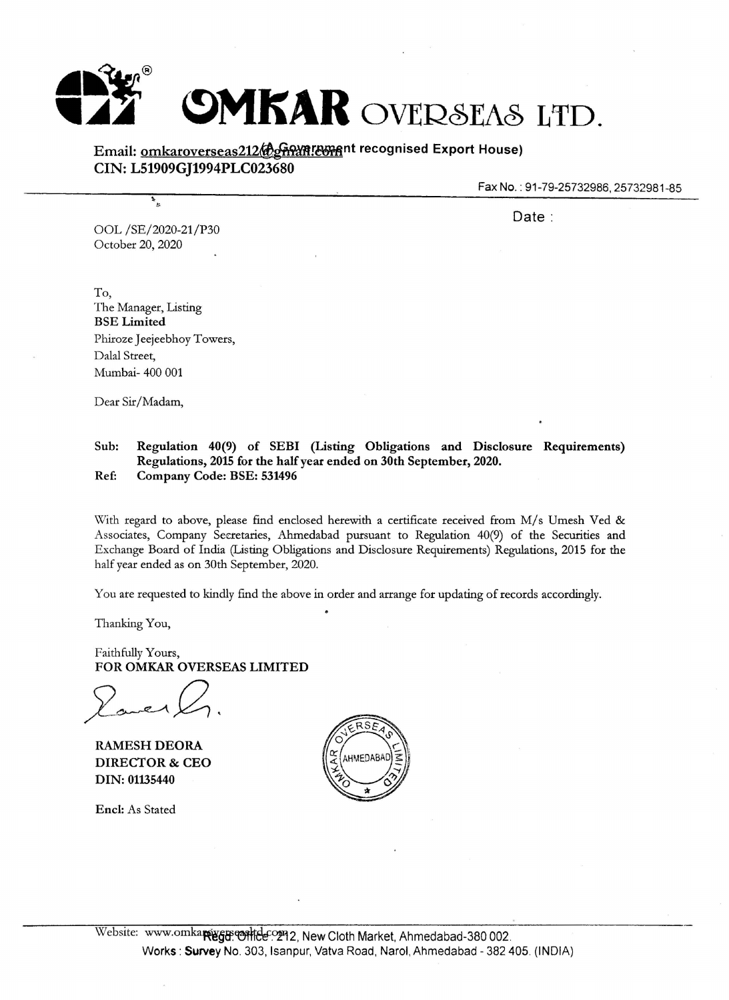

## Email: omkaroverseas212@gname.com recognised Export House) **CIN: L51909GJ1994PLC023680**

Fax **No.:** 91-79-25732986, 25732981-85

Date:

OOL /SE/2020-21/P30 October 20, 2020

#

To, The Manager, Listing **BSE Limited**  Phiroze Jeejeebhoy Towers, Dalal Street, Mumbai- 400 001

Dear Sir/Madam,

## **Sub: Regulation 40(9) of SEBI (Listing Obligations and Disclosure Requirements) Regulations, 2015 for the half year ended on 30th September, 2020. Ref: Company Code: BSE: 531496**

With regard to above, please find enclosed herewith a certificate received from M/s Umesh Ved & Associates, Company Seeretaries, Ahmedabad pursuant to Regulation 40(9) of the Securities and Exchange Board of India (Listing Obligations and Disclosure Requirements) Regulations, 2015 for the half year ended as on 30th September, 2020.

You are requested to kindly find the above in order and arrange for updating of records accordingly.

Thanking You,

Faithfully Yours, **FOR OMKAR OVERSEAS LIMITED** 

**RAMESH DEORA DIRECTOR** & **CEO DIN: 01135440** 

**Encl:** As Stated